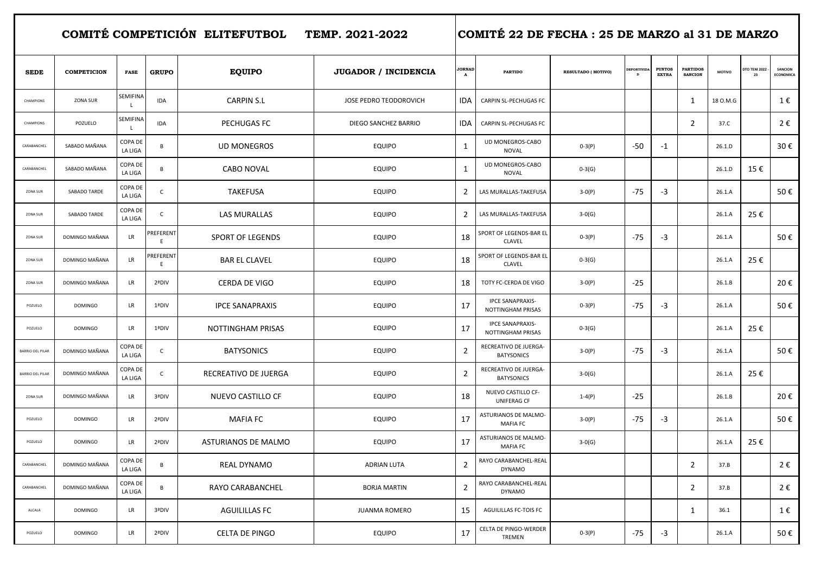COMITÉ COMPETICIÓN ELITEFUTBOL TEMP. 2021-2022 COMITÉ 22 DE FECHA : 25 DE MARZO al 31 DE MARZO

| <b>SEDE</b>             | <b>COMPETICION</b> | <b>FASE</b>               | <b>GRUPO</b>   | <b>EQUIPO</b>           | <b>JUGADOR / INCIDENCIA</b> | <b>JORNAD</b><br>A | <b>PARTIDO</b>                                      | <b>RESULTADO (MOTIVO)</b> | <b>EPORTIVID</b> | <b>PUNTOS</b><br><b>EXTRA</b> | <b>PARTIDOS</b><br><b>SANCION</b> | <b>MOTIVO</b> | <b>DTO TEM 2022</b><br>23 | SANCION<br>ECONOMICA |
|-------------------------|--------------------|---------------------------|----------------|-------------------------|-----------------------------|--------------------|-----------------------------------------------------|---------------------------|------------------|-------------------------------|-----------------------------------|---------------|---------------------------|----------------------|
| CHAMPIONS               | <b>ZONA SUR</b>    | <b>SEMIFINA</b><br>L.     | <b>IDA</b>     | <b>CARPIN S.L</b>       | JOSE PEDRO TEODOROVICH      | <b>IDA</b>         | CARPIN SL-PECHUGAS FC                               |                           |                  |                               | 1                                 | 18 O.M.G      |                           | 1€                   |
| CHAMPIONS               | POZUELO            | SEMIFINA<br>L.            | IDA            | PECHUGAS FC             | DIEGO SANCHEZ BARRIO        | <b>IDA</b>         | CARPIN SL-PECHUGAS FC                               |                           |                  |                               | $\overline{2}$                    | 37.C          |                           | 2€                   |
| CARABANCHEL             | SABADO MAÑANA      | COPA DE<br>LA LIGA        | B              | <b>UD MONEGROS</b>      | <b>EQUIPO</b>               | $\mathbf{1}$       | UD MONEGROS-CABO<br><b>NOVAL</b>                    | $0-3(P)$                  | $-50$            | $-1$                          |                                   | 26.1.D        |                           | 30€                  |
| CARABANCHEL             | SABADO MAÑANA      | COPA DE<br>LA LIGA        | B              | <b>CABO NOVAL</b>       | <b>EQUIPO</b>               | $\mathbf{1}$       | UD MONEGROS-CABO<br><b>NOVAL</b>                    | $0-3(G)$                  |                  |                               |                                   | 26.1.D        | 15€                       |                      |
| ZONA SUR                | SABADO TARDE       | COPA DE<br>LA LIGA        | $\mathsf{C}$   | <b>TAKEFUSA</b>         | <b>EQUIPO</b>               | $\overline{2}$     | LAS MURALLAS-TAKEFUSA                               | $3-0(P)$                  | $-75$            | $-3$                          |                                   | 26.1.A        |                           | 50€                  |
| ZONA SUR                | SABADO TARDE       | COPA DE<br>LA LIGA        | $\mathsf{C}$   | <b>LAS MURALLAS</b>     | <b>EQUIPO</b>               | $\overline{2}$     | LAS MURALLAS-TAKEFUSA                               | $3-0(G)$                  |                  |                               |                                   | 26.1.A        | 25€                       |                      |
| ZONA SUR                | DOMINGO MAÑANA     | <b>LR</b>                 | PREFERENT<br>E | <b>SPORT OF LEGENDS</b> | <b>EQUIPO</b>               | 18                 | SPORT OF LEGENDS-BAR EL<br><b>CLAVEL</b>            | $0-3(P)$                  | -75              | $-3$                          |                                   | 26.1.A        |                           | 50€                  |
| ZONA SUR                | DOMINGO MAÑANA     | <b>LR</b>                 | PREFERENT<br>E | <b>BAR EL CLAVEL</b>    | <b>EQUIPO</b>               | 18                 | SPORT OF LEGENDS-BAR EL<br><b>CLAVEL</b>            | $0-3(G)$                  |                  |                               |                                   | 26.1.A        | 25€                       |                      |
| ZONA SUR                | DOMINGO MAÑANA     | <b>LR</b>                 | 2ªDIV          | <b>CERDA DE VIGO</b>    | <b>EQUIPO</b>               | 18                 | TOTY FC-CERDA DE VIGO                               | $3-0(P)$                  | $-25$            |                               |                                   | 26.1.B        |                           | 20€                  |
| POZUELO                 | <b>DOMINGO</b>     | <b>LR</b>                 | 1ªDIV          | <b>IPCE SANAPRAXIS</b>  | <b>EQUIPO</b>               | 17                 | <b>IPCE SANAPRAXIS-</b><br>NOTTINGHAM PRISAS        | $0-3(P)$                  | $-75$            | $-3$                          |                                   | 26.1.A        |                           | 50€                  |
| POZUELO                 | <b>DOMINGO</b>     | LR                        | 1ªDIV          | NOTTINGHAM PRISAS       | <b>EQUIPO</b>               | 17                 | <b>IPCE SANAPRAXIS-</b><br><b>NOTTINGHAM PRISAS</b> | $0-3(G)$                  |                  |                               |                                   | 26.1.A        | 25€                       |                      |
| <b>BARRIO DEL PILAR</b> | DOMINGO MAÑANA     | COPA DE<br>LA LIGA        | $\mathsf{C}$   | <b>BATYSONICS</b>       | <b>EQUIPO</b>               | $\overline{2}$     | RECREATIVO DE JUERGA-<br><b>BATYSONICS</b>          | $3-0(P)$                  | $-75$            | $-3$                          |                                   | 26.1.A        |                           | 50€                  |
| BARRIO DEL PILAR        | DOMINGO MAÑANA     | COPA DE<br>LA LIGA        | $\mathsf{C}$   | RECREATIVO DE JUERGA    | <b>EQUIPO</b>               | $\overline{2}$     | RECREATIVO DE JUERGA-<br><b>BATYSONICS</b>          | $3-0(G)$                  |                  |                               |                                   | 26.1.A        | 25€                       |                      |
| ZONA SUR                | DOMINGO MAÑANA     | LR                        | 3ªDIV          | NUEVO CASTILLO CF       | <b>EQUIPO</b>               | 18                 | NUEVO CASTILLO CF-<br>UNIFERAG CF                   | $1 - 4(P)$                | -25              |                               |                                   | 26.1.B        |                           | 20€                  |
| POZUELO                 | <b>DOMINGO</b>     | <b>LR</b>                 | 2ªDIV          | <b>MAFIA FC</b>         | <b>EQUIPO</b>               | 17                 | ASTURIANOS DE MALMO-<br><b>MAFIA FC</b>             | $3-0(P)$                  | -75              | $-3$                          |                                   | 26.1.A        |                           | 50€                  |
| POZUELO                 | <b>DOMINGO</b>     | LR                        | 2ªDIV          | ASTURIANOS DE MALMO     | <b>EQUIPO</b>               | 17                 | ASTURIANOS DE MALMO-<br><b>MAFIA FC</b>             | $3-0(G)$                  |                  |                               |                                   | 26.1.A        | 25€                       |                      |
| CARABANCHEL             | DOMINGO MAÑANA     | COPA DE<br>LA LIGA        | B              | <b>REAL DYNAMO</b>      | <b>ADRIAN LUTA</b>          | $\overline{2}$     | RAYO CARABANCHEL-REAL<br><b>DYNAMO</b>              |                           |                  |                               | $\overline{2}$                    | 37.B          |                           | 2€                   |
| CARABANCHEL             | DOMINGO MAÑANA     | <b>COPA DE</b><br>LA LIGA | В              | RAYO CARABANCHEL        | <b>BORJA MARTIN</b>         | $\overline{2}$     | RAYO CARABANCHEL-REAL<br><b>DYNAMO</b>              |                           |                  |                               | $\overline{2}$                    | 37.B          |                           | 2€                   |
| ALCALA                  | <b>DOMINGO</b>     | <b>LR</b>                 | 3ªDIV          | <b>AGUILILLAS FC</b>    | <b>JUANMA ROMERO</b>        | 15                 | AGUILILLAS FC-TOIS FC                               |                           |                  |                               | 1                                 | 36.1          |                           | 1€                   |
| POZUELO                 | <b>DOMINGO</b>     | LR.                       | 2ªDIV          | <b>CELTA DE PINGO</b>   | <b>EQUIPO</b>               | 17                 | CELTA DE PINGO-WERDER<br><b>TREMEN</b>              | $0-3(P)$                  | -75              | $-3$                          |                                   | 26.1.A        |                           | 50€                  |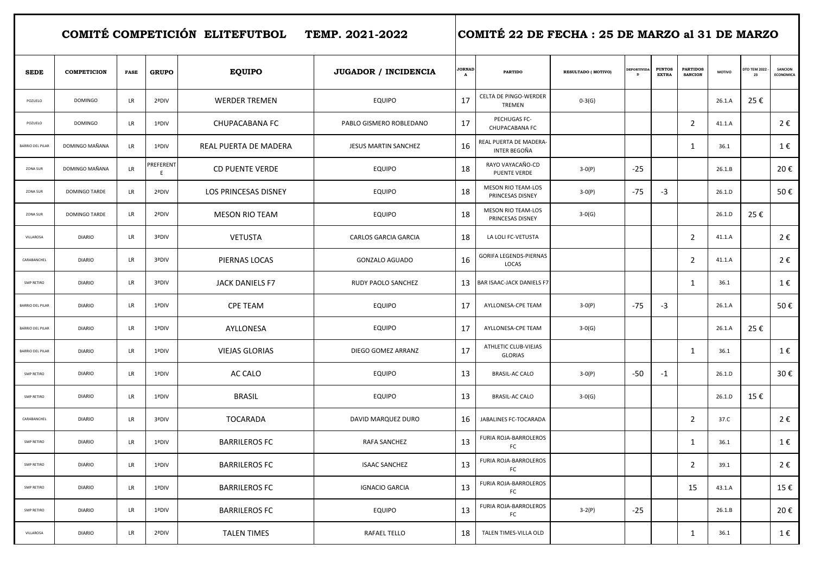COMITÉ COMPETICIÓN ELITEFUTBOL TEMP. 2021-2022 COMITÉ 22 DE FECHA : 25 DE MARZO al 31 DE MARZO

| <b>SEDE</b>             | <b>COMPETICION</b> | <b>FASE</b> | <b>GRUPO</b>   | <b>EQUIPO</b>               | <b>JUGADOR / INCIDENCIA</b> | <b>JORNAL</b><br>$\mathbf{A}$ | <b>PARTIDO</b>                                | RESULTADO ( MOTIVO) | <b>EPORTIVID</b> | <b>PUNTOS</b><br><b>EXTRA</b> | <b>PARTIDOS</b><br><b>SANCION</b> | MOTIVO | <b>TO TEM 2022</b><br>23 | SANCION<br><b>ECONOMICA</b> |
|-------------------------|--------------------|-------------|----------------|-----------------------------|-----------------------------|-------------------------------|-----------------------------------------------|---------------------|------------------|-------------------------------|-----------------------------------|--------|--------------------------|-----------------------------|
| POZUELO                 | <b>DOMINGO</b>     | LR          | 2ªDIV          | <b>WERDER TREMEN</b>        | <b>EQUIPO</b>               | 17                            | CELTA DE PINGO-WERDER<br>TREMEN               | $0-3(G)$            |                  |                               |                                   | 26.1.A | 25€                      |                             |
| POZUELO                 | <b>DOMINGO</b>     | LR          | 1ªDIV          | <b>CHUPACABANA FC</b>       | PABLO GISMERO ROBLEDANO     | 17                            | PECHUGAS FC-<br>CHUPACABANA FC                |                     |                  |                               | $\overline{2}$                    | 41.1.A |                          | 2€                          |
| <b>BARRIO DEL PILAR</b> | DOMINGO MAÑANA     | <b>LR</b>   | 1ªDIV          | REAL PUERTA DE MADERA       | JESUS MARTIN SANCHEZ        | 16                            | REAL PUERTA DE MADERA-<br>INTER BEGOÑA        |                     |                  |                               | 1                                 | 36.1   |                          | 1€                          |
| ZONA SUR                | DOMINGO MAÑANA     | <b>LR</b>   | PREFERENT<br>E | <b>CD PUENTE VERDE</b>      | <b>EQUIPO</b>               | 18                            | RAYO VAYACAÑO-CD<br>PUENTE VERDE              | $3-0(P)$            | $-25$            |                               |                                   | 26.1.B |                          | 20€                         |
| ZONA SUR                | DOMINGO TARDE      | <b>LR</b>   | 2ªDIV          | <b>LOS PRINCESAS DISNEY</b> | <b>EQUIPO</b>               | 18                            | <b>MESON RIO TEAM-LOS</b><br>PRINCESAS DISNEY | $3-0(P)$            | $-75$            | $-3$                          |                                   | 26.1.D |                          | 50€                         |
| ZONA SUR                | DOMINGO TARDE      | LR          | 2ªDIV          | <b>MESON RIO TEAM</b>       | <b>EQUIPO</b>               | 18                            | <b>MESON RIO TEAM-LOS</b><br>PRINCESAS DISNEY | $3-0(G)$            |                  |                               |                                   | 26.1.D | 25€                      |                             |
| VILLAROSA               | <b>DIARIO</b>      | LR          | 3ªDIV          | <b>VETUSTA</b>              | <b>CARLOS GARCIA GARCIA</b> | 18                            | LA LOLI FC-VETUSTA                            |                     |                  |                               | $\overline{2}$                    | 41.1.A |                          | 2€                          |
| CARABANCHEL             | <b>DIARIO</b>      | LR          | 3ªDIV          | PIERNAS LOCAS               | <b>GONZALO AGUADO</b>       | 16                            | GORIFA LEGENDS-PIERNAS<br>LOCAS               |                     |                  |                               | $\overline{2}$                    | 41.1.A |                          | 2€                          |
| SMP RETIRO              | <b>DIARIO</b>      | <b>LR</b>   | 3ªDIV          | JACK DANIELS F7             | RUDY PAOLO SANCHEZ          | 13                            | BAR ISAAC-JACK DANIELS F7                     |                     |                  |                               | 1                                 | 36.1   |                          | 1€                          |
| BARRIO DEL PILAR        | <b>DIARIO</b>      | LR          | 1ªDIV          | <b>CPE TEAM</b>             | <b>EQUIPO</b>               | 17                            | AYLLONESA-CPE TEAM                            | $3-0(P)$            | $-75$            | $-3$                          |                                   | 26.1.A |                          | 50€                         |
| <b>BARRIO DEL PILAR</b> | <b>DIARIO</b>      | LR          | 1ªDIV          | AYLLONESA                   | <b>EQUIPO</b>               | 17                            | AYLLONESA-CPE TEAM                            | $3-0(G)$            |                  |                               |                                   | 26.1.A | 25€                      |                             |
| <b>BARRIO DEL PILAR</b> | <b>DIARIO</b>      | <b>LR</b>   | 1ªDIV          | <b>VIEJAS GLORIAS</b>       | DIEGO GOMEZ ARRANZ          | 17                            | ATHLETIC CLUB-VIEJAS<br><b>GLORIAS</b>        |                     |                  |                               | 1                                 | 36.1   |                          | 1€                          |
| SMP RETIRO              | <b>DIARIO</b>      | LR          | 1ªDIV          | AC CALO                     | <b>EQUIPO</b>               | 13                            | <b>BRASIL-AC CALO</b>                         | $3-0(P)$            | $-50$            | $-1$                          |                                   | 26.1.D |                          | 30€                         |
| <b>SMP RETIRO</b>       | <b>DIARIO</b>      | LR          | 1ªDIV          | <b>BRASIL</b>               | <b>EQUIPO</b>               | 13                            | <b>BRASIL-AC CALO</b>                         | $3-0(G)$            |                  |                               |                                   | 26.1.D | 15€                      |                             |
| CARABANCHEL             | <b>DIARIO</b>      | LR          | 3ªDIV          | <b>TOCARADA</b>             | DAVID MARQUEZ DURO          | 16                            | JABALINES FC-TOCARADA                         |                     |                  |                               | $\overline{2}$                    | 37.C   |                          | 2€                          |
| <b>SMP RETIRO</b>       | <b>DIARIO</b>      | LR          | 1ªDIV          | <b>BARRILEROS FC</b>        | RAFA SANCHEZ                | 13                            | FURIA ROJA-BARROLEROS<br>FC                   |                     |                  |                               | 1                                 | 36.1   |                          | 1€                          |
| SMP RETIRO              | <b>DIARIO</b>      | LR          | 1ªDIV          | <b>BARRILEROS FC</b>        | <b>ISAAC SANCHEZ</b>        | 13                            | FURIA ROJA-BARROLEROS<br>FC                   |                     |                  |                               | $\overline{2}$                    | 39.1   |                          | 2€                          |
| <b>SMP RETIRO</b>       | <b>DIARIO</b>      | LR          | 1ªDIV          | <b>BARRILEROS FC</b>        | <b>IGNACIO GARCIA</b>       | 13                            | FURIA ROJA-BARROLEROS<br>FC                   |                     |                  |                               | 15                                | 43.1.A |                          | 15€                         |
| SMP RETIRO              | <b>DIARIO</b>      | LR          | 1ªDIV          | <b>BARRILEROS FC</b>        | <b>EQUIPO</b>               | 13                            | FURIA ROJA-BARROLEROS<br>FC                   | $3-2(P)$            | $-25$            |                               |                                   | 26.1.B |                          | 20€                         |
| VILLAROSA               | <b>DIARIO</b>      | LR.         | 2ªDIV          | <b>TALEN TIMES</b>          | RAFAEL TELLO                | 18                            | TALEN TIMES-VILLA OLD                         |                     |                  |                               | 1                                 | 36.1   |                          | 1€                          |